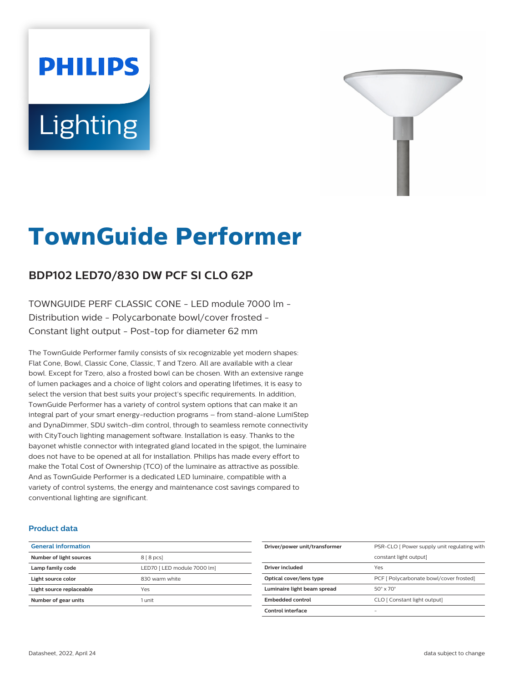# **PHILIPS** Lighting



# **TownGuide Performer**

# **BDP102 LED70/830 DW PCF SI CLO 62P**

TOWNGUIDE PERF CLASSIC CONE - LED module 7000 lm - Distribution wide - Polycarbonate bowl/cover frosted - Constant light output - Post-top for diameter 62 mm

The TownGuide Performer family consists of six recognizable yet modern shapes: Flat Cone, Bowl, Classic Cone, Classic, T and Tzero. All are available with a clear bowl. Except for Tzero, also a frosted bowl can be chosen. With an extensive range of lumen packages and a choice of light colors and operating lifetimes, it is easy to select the version that best suits your project's specific requirements. In addition, TownGuide Performer has a variety of control system options that can make it an integral part of your smart energy-reduction programs – from stand-alone LumiStep and DynaDimmer, SDU switch-dim control, through to seamless remote connectivity with CityTouch lighting management software. Installation is easy. Thanks to the bayonet whistle connector with integrated gland located in the spigot, the luminaire does not have to be opened at all for installation. Philips has made every effort to make the Total Cost of Ownership (TCO) of the luminaire as attractive as possible. And as TownGuide Performer is a dedicated LED luminaire, compatible with a variety of control systems, the energy and maintenance cost savings compared to conventional lighting are significant.

#### **Product data**

| <b>General information</b> |                             |
|----------------------------|-----------------------------|
| Number of light sources    | $88$ pcs                    |
| Lamp family code           | LED70   LED module 7000 lm] |
| Light source color         | 830 warm white              |
| Light source replaceable   | Yes                         |
| Number of gear units       | 1 unit                      |
|                            |                             |

| Driver/power unit/transformer | PSR-CLO [ Power supply unit regulating with |
|-------------------------------|---------------------------------------------|
|                               | constant light output]                      |
| Driver included               | Yes                                         |
| Optical cover/lens type       | PCF [ Polycarbonate bowl/cover frosted]     |
| Luminaire light beam spread   | $50^\circ \times 70^\circ$                  |
| <b>Embedded control</b>       | CLO [ Constant light output]                |
| Control interface             | -                                           |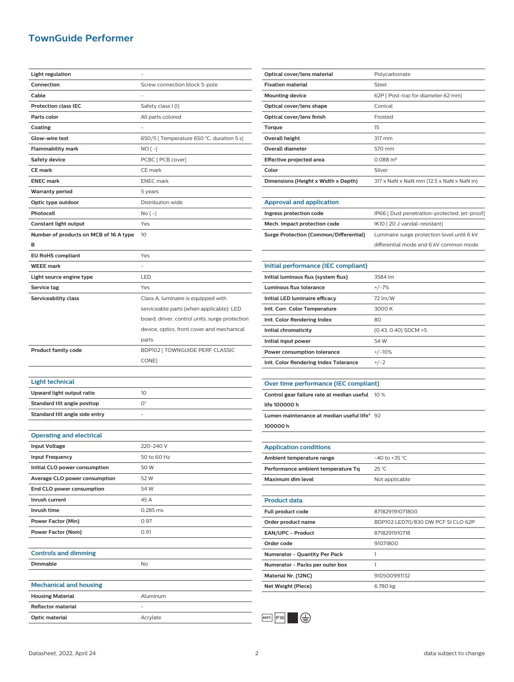## **TownGuide Performer**

| <b>Light regulation</b>                |                                                |
|----------------------------------------|------------------------------------------------|
| Connection                             | Screw connection block 5-pole                  |
| Cable                                  |                                                |
| <b>Protection class IEC</b>            | Safety class I (I)                             |
| Parts color                            | All parts colored                              |
| Coating                                |                                                |
| Glow-wire test                         | 650/5 [ Temperature 650 °C, duration 5 s]      |
| <b>Flammability mark</b>               | NO [ -]                                        |
| <b>Safety device</b>                   | PCBC [ PCB cover]                              |
| <b>CE</b> mark                         | CE mark                                        |
| <b>ENEC mark</b>                       | <b>ENEC</b> mark                               |
| <b>Warranty period</b>                 | 5 years                                        |
| Optic type outdoor                     | Distribution wide                              |
| Photocell                              | No [ -]                                        |
| Constant light output                  | Yes                                            |
| Number of products on MCB of 16 A type | 10                                             |
| в                                      |                                                |
| <b>EU RoHS compliant</b>               | Yes                                            |
| <b>WEEE</b> mark                       |                                                |
| Light source engine type               | LED                                            |
| Service tag                            | Yes                                            |
| Serviceability class                   | Class A, luminaire is equipped with            |
|                                        | serviceable parts (when applicable): LED       |
|                                        | board, driver, control units, surge protection |
|                                        | device, optics, front cover and mechanical     |
|                                        | parts                                          |
| <b>Product family code</b>             | BDP102 [ TOWNGUIDE PERF CLASSIC                |
|                                        | CONE]                                          |
|                                        |                                                |
| <b>Light technical</b>                 |                                                |
| Upward light output ratio              | 10                                             |
| Standard tilt angle posttop            | О°                                             |
| Standard tilt angle side entry         |                                                |
|                                        |                                                |
| <b>Operating and electrical</b>        |                                                |
| <b>Input Voltage</b>                   | 220-240 V                                      |
| <b>Input Frequency</b>                 | 50 to 60 Hz                                    |
| Initial CLO power consumption          | 50 W                                           |
| Average CLO power consumption          | 52 W                                           |
| End CLO power consumption              | 54 W                                           |
| Inrush current                         | 45 A                                           |
| Inrush time                            | 0.285 ms                                       |
| <b>Power Factor (Min)</b>              | 0.97                                           |
| <b>Power Factor (Nom)</b>              | 0.91                                           |
|                                        |                                                |
| <b>Controls and dimming</b>            |                                                |
| Dimmable                               | No                                             |
|                                        |                                                |
| <b>Mechanical and housing</b>          |                                                |
| <b>Housing Material</b>                | Aluminum                                       |
| Reflector material                     |                                                |
| Optic material                         | Acrylate                                       |
|                                        |                                                |

| Optical cover/lens material         | Polycarbonate                                                        |
|-------------------------------------|----------------------------------------------------------------------|
| <b>Fixation material</b>            | Steel                                                                |
| <b>Mounting device</b>              | 62P   Post-top for diameter 62 mm]                                   |
| Optical cover/lens shape            | Conical                                                              |
| Optical cover/lens finish           | Frosted                                                              |
| Torque                              | 15                                                                   |
| Overall height                      | 317 mm                                                               |
| Overall diameter                    | 570 mm                                                               |
| Effective projected area            | $0.088 \text{ m}^2$                                                  |
| Color                               | Silver                                                               |
| Dimensions (Height x Width x Depth) | $317 \times$ NaN $\times$ NaN mm (12.5 $\times$ NaN $\times$ NaN in) |
|                                     |                                                                      |
| Annroval and annication             |                                                                      |

#### **Approval and application**

| Ingress protection code                | IP66 [ Dust penetration-protected, jet-proof] |
|----------------------------------------|-----------------------------------------------|
| Mech. impact protection code           | IK10 [20 J vandal-resistant]                  |
| Surge Protection (Common/Differential) | Luminaire surge protection level until 6 kV   |
|                                        | differential mode and 6 kV common mode        |

| Initial performance (IEC compliant)   |                        |
|---------------------------------------|------------------------|
| Initial luminous flux (system flux)   | 3584 lm                |
| Luminous flux tolerance               | $+/-7%$                |
| Initial LED luminaire efficacy        | 72 lm/W                |
| Init. Corr. Color Temperature         | 3000 K                 |
| Init. Color Rendering Index           | 80                     |
| Initial chromaticity                  | $(0.43, 0.40)$ SDCM <5 |
| Initial input power                   | 54 W                   |
| Power consumption tolerance           | $+/-10%$               |
| Init. Color Rendering Index Tolerance | $+/-2$                 |
|                                       |                        |

#### **Over time performance (IEC compliant)**

**Control gear failure rate at median useful** 10 %

**life 100000 h**

**Lumen maintenance at median useful life\*** 92

**100000 h**

| $-40$ to $+35$ °C                  |
|------------------------------------|
| $25^{\circ}$ C                     |
| Not applicable                     |
|                                    |
|                                    |
| 871829191071800                    |
| BDP102 LED70/830 DW PCF SI CLO 62P |
| 8718291910718                      |
| 91071800                           |
| 1                                  |
| 1                                  |
| 910500991132                       |
| 6.780 kg                           |
|                                    |